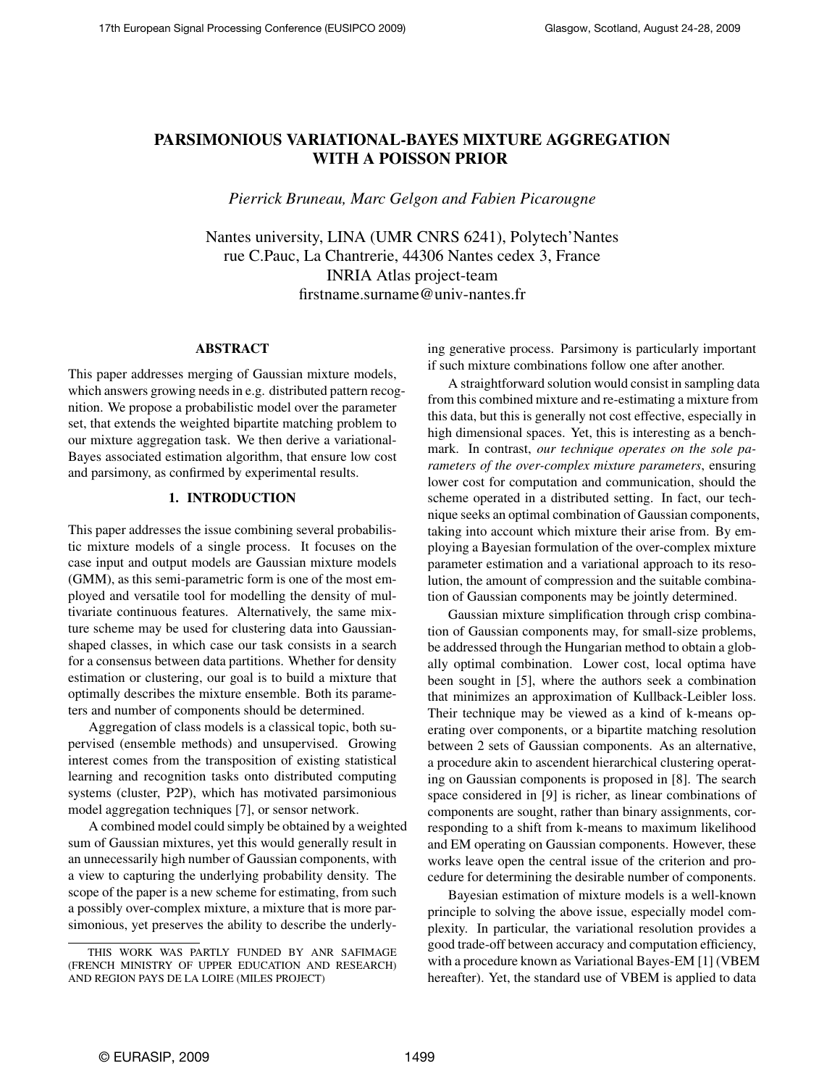# PARSIMONIOUS VARIATIONAL-BAYES MIXTURE AGGREGATION WITH A POISSON PRIOR

*Pierrick Bruneau, Marc Gelgon and Fabien Picarougne*

Nantes university, LINA (UMR CNRS 6241), Polytech'Nantes rue C.Pauc, La Chantrerie, 44306 Nantes cedex 3, France INRIA Atlas project-team firstname.surname@univ-nantes.fr

## ABSTRACT

This paper addresses merging of Gaussian mixture models, which answers growing needs in e.g. distributed pattern recognition. We propose a probabilistic model over the parameter set, that extends the weighted bipartite matching problem to our mixture aggregation task. We then derive a variational-Bayes associated estimation algorithm, that ensure low cost and parsimony, as confirmed by experimental results.

# 1. INTRODUCTION

This paper addresses the issue combining several probabilistic mixture models of a single process. It focuses on the case input and output models are Gaussian mixture models (GMM), as this semi-parametric form is one of the most employed and versatile tool for modelling the density of multivariate continuous features. Alternatively, the same mixture scheme may be used for clustering data into Gaussianshaped classes, in which case our task consists in a search for a consensus between data partitions. Whether for density estimation or clustering, our goal is to build a mixture that optimally describes the mixture ensemble. Both its parameters and number of components should be determined.

Aggregation of class models is a classical topic, both supervised (ensemble methods) and unsupervised. Growing interest comes from the transposition of existing statistical learning and recognition tasks onto distributed computing systems (cluster, P2P), which has motivated parsimonious model aggregation techniques [7], or sensor network.

A combined model could simply be obtained by a weighted sum of Gaussian mixtures, yet this would generally result in an unnecessarily high number of Gaussian components, with a view to capturing the underlying probability density. The scope of the paper is a new scheme for estimating, from such a possibly over-complex mixture, a mixture that is more parsimonious, yet preserves the ability to describe the underlying generative process. Parsimony is particularly important if such mixture combinations follow one after another.

A straightforward solution would consist in sampling data from this combined mixture and re-estimating a mixture from this data, but this is generally not cost effective, especially in high dimensional spaces. Yet, this is interesting as a benchmark. In contrast, *our technique operates on the sole parameters of the over-complex mixture parameters*, ensuring lower cost for computation and communication, should the scheme operated in a distributed setting. In fact, our technique seeks an optimal combination of Gaussian components, taking into account which mixture their arise from. By employing a Bayesian formulation of the over-complex mixture parameter estimation and a variational approach to its resolution, the amount of compression and the suitable combination of Gaussian components may be jointly determined.

Gaussian mixture simplification through crisp combination of Gaussian components may, for small-size problems, be addressed through the Hungarian method to obtain a globally optimal combination. Lower cost, local optima have been sought in [5], where the authors seek a combination that minimizes an approximation of Kullback-Leibler loss. Their technique may be viewed as a kind of k-means operating over components, or a bipartite matching resolution between 2 sets of Gaussian components. As an alternative, a procedure akin to ascendent hierarchical clustering operating on Gaussian components is proposed in [8]. The search space considered in [9] is richer, as linear combinations of components are sought, rather than binary assignments, corresponding to a shift from k-means to maximum likelihood and EM operating on Gaussian components. However, these works leave open the central issue of the criterion and procedure for determining the desirable number of components.

Bayesian estimation of mixture models is a well-known principle to solving the above issue, especially model complexity. In particular, the variational resolution provides a good trade-off between accuracy and computation efficiency, with a procedure known as Variational Bayes-EM [1] (VBEM hereafter). Yet, the standard use of VBEM is applied to data

THIS WORK WAS PARTLY FUNDED BY ANR SAFIMAGE (FRENCH MINISTRY OF UPPER EDUCATION AND RESEARCH) AND REGION PAYS DE LA LOIRE (MILES PROJECT)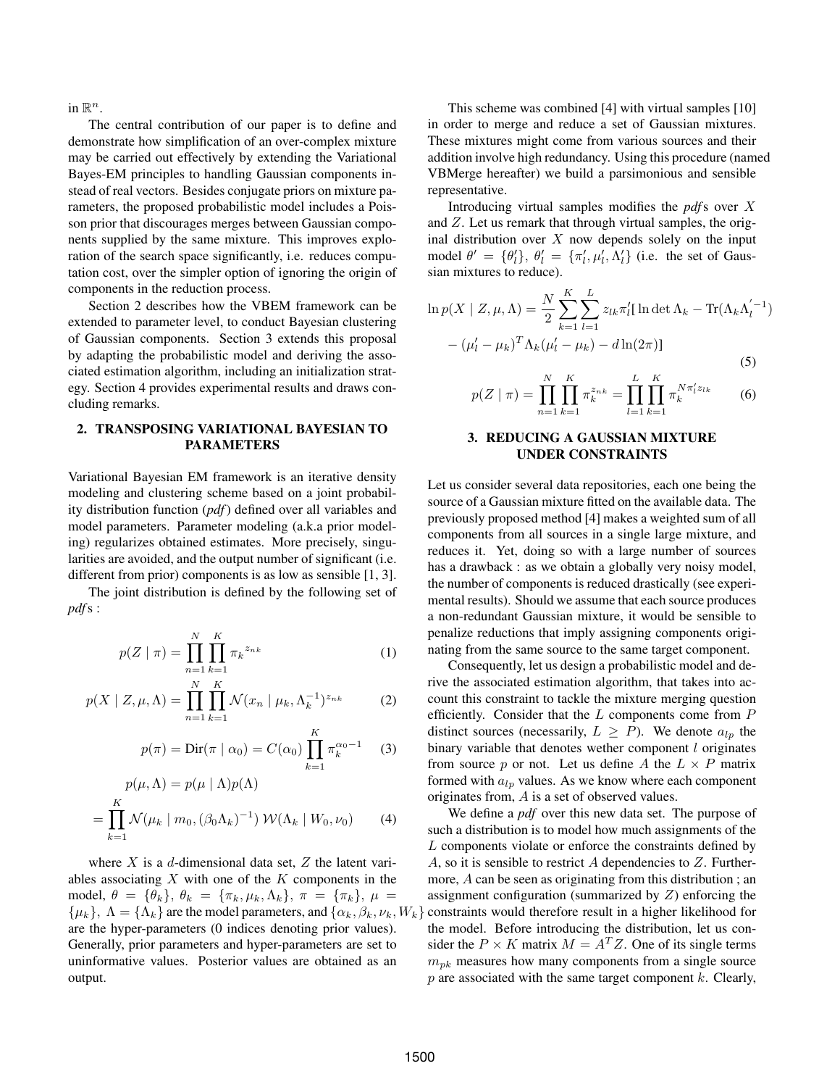in  $\mathbb{R}^n$ .

The central contribution of our paper is to define and demonstrate how simplification of an over-complex mixture may be carried out effectively by extending the Variational Bayes-EM principles to handling Gaussian components instead of real vectors. Besides conjugate priors on mixture parameters, the proposed probabilistic model includes a Poisson prior that discourages merges between Gaussian components supplied by the same mixture. This improves exploration of the search space significantly, i.e. reduces computation cost, over the simpler option of ignoring the origin of components in the reduction process.

Section 2 describes how the VBEM framework can be extended to parameter level, to conduct Bayesian clustering of Gaussian components. Section 3 extends this proposal by adapting the probabilistic model and deriving the associated estimation algorithm, including an initialization strategy. Section 4 provides experimental results and draws concluding remarks.

# 2. TRANSPOSING VARIATIONAL BAYESIAN TO PARAMETERS

Variational Bayesian EM framework is an iterative density modeling and clustering scheme based on a joint probability distribution function (*pdf*) defined over all variables and model parameters. Parameter modeling (a.k.a prior modeling) regularizes obtained estimates. More precisely, singularities are avoided, and the output number of significant (i.e. different from prior) components is as low as sensible [1, 3].

The joint distribution is defined by the following set of *pdf*s :

$$
p(Z \mid \pi) = \prod_{n=1}^{N} \prod_{k=1}^{K} \pi_k^{z_{nk}}
$$
 (1)

$$
p(X \mid Z, \mu, \Lambda) = \prod_{n=1}^{N} \prod_{k=1}^{K} \mathcal{N}(x_n \mid \mu_k, \Lambda_k^{-1})^{z_{nk}}
$$
 (2)

$$
p(\pi) = \text{Dir}(\pi \mid \alpha_0) = C(\alpha_0) \prod_{k=1}^{K} \pi_k^{\alpha_0 - 1} \quad (3)
$$

$$
p(\mu, \Lambda) = p(\mu \mid \Lambda) p(\Lambda)
$$
  
= 
$$
\prod_{k=1}^{K} \mathcal{N}(\mu_k \mid m_0, (\beta_0 \Lambda_k)^{-1}) \mathcal{W}(\Lambda_k \mid W_0, \nu_0)
$$
 (4)

where  $X$  is a d-dimensional data set,  $Z$  the latent variables associating  $X$  with one of the  $K$  components in the model,  $\theta = {\theta_k}, \theta_k = {\pi_k, \mu_k, \Lambda_k}, \pi = {\pi_k}, \mu =$  $\{\mu_k\}, \Lambda = \{\Lambda_k\}$  are the model parameters, and  $\{\alpha_k, \beta_k, \nu_k, W_k\}$ are the hyper-parameters (0 indices denoting prior values). Generally, prior parameters and hyper-parameters are set to uninformative values. Posterior values are obtained as an output.

This scheme was combined [4] with virtual samples [10] in order to merge and reduce a set of Gaussian mixtures. These mixtures might come from various sources and their addition involve high redundancy. Using this procedure (named VBMerge hereafter) we build a parsimonious and sensible representative.

Introducing virtual samples modifies the *pdf*s over X and  $Z$ . Let us remark that through virtual samples, the original distribution over  $X$  now depends solely on the input model  $\theta' = {\theta'_l}, \theta'_l = {\pi'_l}, \mu'_l, \Lambda'_l$  (i.e. the set of Gaussian mixtures to reduce).

$$
\ln p(X \mid Z, \mu, \Lambda) = \frac{N}{2} \sum_{k=1}^{K} \sum_{l=1}^{L} z_{lk} \pi'_l [\ln \det \Lambda_k - \text{Tr}(\Lambda_k \Lambda'_l)^{-1})
$$

$$
- (\mu'_l - \mu_k)^T \Lambda_k (\mu'_l - \mu_k) - d \ln(2\pi)] \tag{5}
$$

$$
p(Z \mid \pi) = \prod_{n=1}^{N} \prod_{k=1}^{K} \pi_k^{z_{nk}} = \prod_{l=1}^{L} \prod_{k=1}^{K} \pi_k^{N \pi'_l z_{lk}} \tag{6}
$$

### 3. REDUCING A GAUSSIAN MIXTURE UNDER CONSTRAINTS

Let us consider several data repositories, each one being the source of a Gaussian mixture fitted on the available data. The previously proposed method [4] makes a weighted sum of all components from all sources in a single large mixture, and reduces it. Yet, doing so with a large number of sources has a drawback : as we obtain a globally very noisy model, the number of components is reduced drastically (see experimental results). Should we assume that each source produces a non-redundant Gaussian mixture, it would be sensible to penalize reductions that imply assigning components originating from the same source to the same target component.

Consequently, let us design a probabilistic model and derive the associated estimation algorithm, that takes into account this constraint to tackle the mixture merging question efficiently. Consider that the  $L$  components come from  $P$ distinct sources (necessarily,  $L \geq P$ ). We denote  $a_{lp}$  the binary variable that denotes wether component  $l$  originates from source p or not. Let us define A the  $L \times P$  matrix formed with  $a_{lp}$  values. As we know where each component originates from, A is a set of observed values.

We define a *pdf* over this new data set. The purpose of such a distribution is to model how much assignments of the L components violate or enforce the constraints defined by A, so it is sensible to restrict A dependencies to  $Z$ . Furthermore, A can be seen as originating from this distribution ; an assignment configuration (summarized by  $Z$ ) enforcing the constraints would therefore result in a higher likelihood for the model. Before introducing the distribution, let us consider the  $P \times K$  matrix  $M = A<sup>T</sup>Z$ . One of its single terms  $m_{pk}$  measures how many components from a single source  $p$  are associated with the same target component  $k$ . Clearly,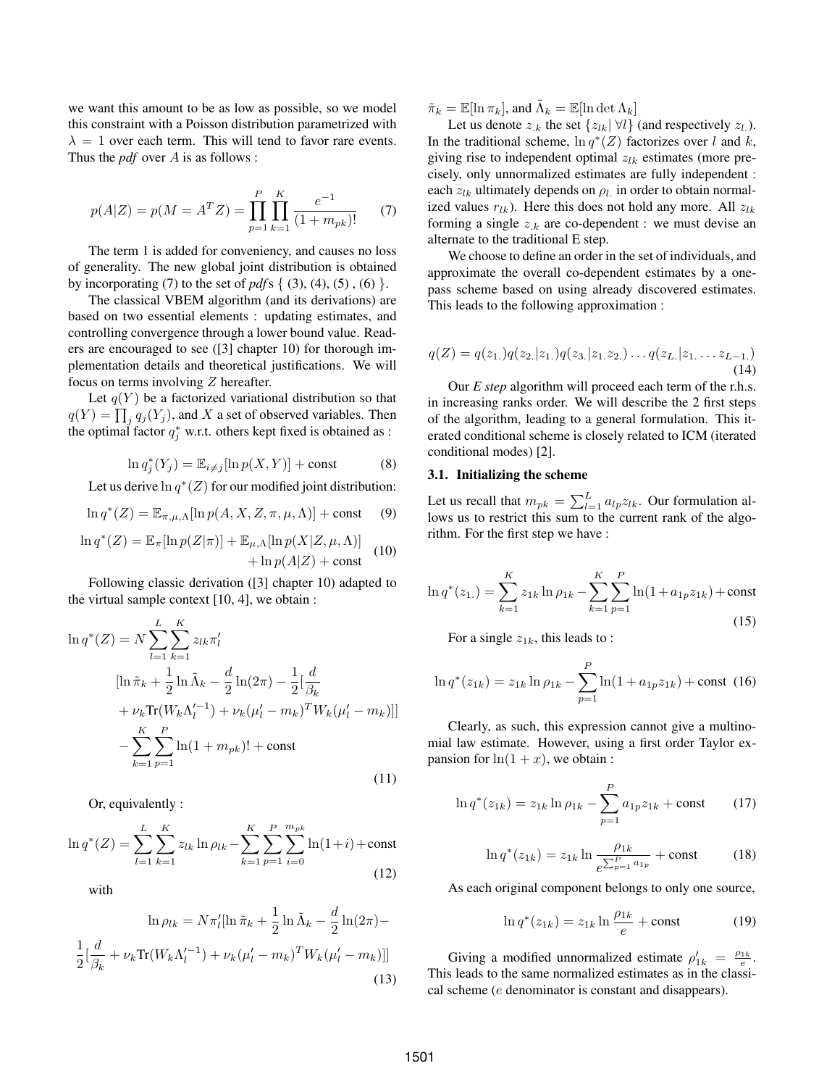we want this amount to be as low as possible, so we model this constraint with a Poisson distribution parametrized with  $\lambda = 1$  over each term. This will tend to favor rare events. Thus the *pdf* over A is as follows :

$$
p(A|Z) = p(M = ATZ) = \prod_{p=1}^{P} \prod_{k=1}^{K} \frac{e^{-1}}{(1 + m_{pk})!}
$$
 (7)

The term 1 is added for conveniency, and causes no loss of generality. The new global joint distribution is obtained by incorporating (7) to the set of  $pdfs \{ (3), (4), (5), (6) \}.$ 

The classical VBEM algorithm (and its derivations) are based on two essential elements : updating estimates, and controlling convergence through a lower bound value. Readers are encouraged to see ([3] chapter 10) for thorough implementation details and theoretical justifications. We will focus on terms involving Z hereafter.

Let  $q(Y)$  be a factorized variational distribution so that  $q(Y) = \prod_j q_j(Y_j)$ , and X a set of observed variables. Then the optimal factor  $q_j^*$  w.r.t. others kept fixed is obtained as :

$$
\ln q_j^*(Y_j) = \mathbb{E}_{i \neq j}[\ln p(X, Y)] + \text{const}
$$
 (8)

Let us derive  $\ln q^*(Z)$  for our modified joint distribution:

$$
\ln q^*(Z) = \mathbb{E}_{\pi,\mu,\Lambda}[\ln p(A, X, Z, \pi, \mu, \Lambda)] + \text{const} \quad (9)
$$

$$
\ln q^*(Z) = \mathbb{E}_{\pi}[\ln p(Z|\pi)] + \mathbb{E}_{\mu,\Lambda}[\ln p(X|Z,\mu,\Lambda)] + \ln p(A|Z) + \text{const}
$$
 (10)

Following classic derivation ([3] chapter 10) adapted to the virtual sample context [10, 4], we obtain :

$$
\ln q^*(Z) = N \sum_{l=1}^{L} \sum_{k=1}^{K} z_{lk} \pi'_l
$$
\n
$$
[\ln \tilde{\pi}_k + \frac{1}{2} \ln \tilde{\Lambda}_k - \frac{d}{2} \ln(2\pi) - \frac{1}{2} [\frac{d}{\beta_k} + \nu_k \text{Tr}(W_k \Lambda_l'^{-1}) + \nu_k (\mu_l' - m_k)^T W_k (\mu_l' - m_k)]]
$$
\n
$$
- \sum_{k=1}^{K} \sum_{p=1}^{P} \ln(1 + m_{pk})! + \text{const}
$$
\n(11)

Or, equivalently :

$$
\ln q^*(Z) = \sum_{l=1}^{L} \sum_{k=1}^{K} z_{lk} \ln \rho_{lk} - \sum_{k=1}^{K} \sum_{p=1}^{P} \sum_{i=0}^{m_{pk}} \ln(1+i) + \text{const}
$$
\n(12)

with

$$
\ln \rho_{lk} = N\pi'_l[\ln \tilde{\pi}_k + \frac{1}{2}\ln \tilde{\Lambda}_k - \frac{d}{2}\ln(2\pi) -
$$
  

$$
\frac{1}{2}[\frac{d}{\beta_k} + \nu_k \text{Tr}(W_k \Lambda_l'^{-1}) + \nu_k (\mu'_l - m_k)^T W_k (\mu'_l - m_k)]]
$$
(13)

 $\tilde{\pi}_k = \mathbb{E}[\ln \pi_k]$ , and  $\tilde{\Lambda}_k = \mathbb{E}[\ln \det \Lambda_k]$ 

Let us denote  $z_{.k}$  the set  $\{z_{lk} | \forall l\}$  (and respectively  $z_l$ ). In the traditional scheme,  $\ln q^*(Z)$  factorizes over l and k, giving rise to independent optimal  $z_{lk}$  estimates (more precisely, only unnormalized estimates are fully independent : each  $z_{lk}$  ultimately depends on  $\rho_l$  in order to obtain normalized values  $r_{lk}$ ). Here this does not hold any more. All  $z_{lk}$ forming a single  $z_k$  are co-dependent : we must devise an alternate to the traditional E step.

We choose to define an order in the set of individuals, and approximate the overall co-dependent estimates by a onepass scheme based on using already discovered estimates. This leads to the following approximation :

$$
q(Z) = q(z_1)q(z_2|z_1)q(z_3|z_1,z_2) \dots q(z_L|z_1\dots z_{L-1.})
$$
\n(14)

Our *E step* algorithm will proceed each term of the r.h.s. in increasing ranks order. We will describe the 2 first steps of the algorithm, leading to a general formulation. This iterated conditional scheme is closely related to ICM (iterated conditional modes) [2].

#### 3.1. Initializing the scheme

Let us recall that  $m_{pk} = \sum_{l=1}^{L} a_{lp} z_{lk}$ . Our formulation allows us to restrict this sum to the current rank of the algorithm. For the first step we have :

$$
\ln q^*(z_{1.}) = \sum_{k=1}^K z_{1k} \ln \rho_{1k} - \sum_{k=1}^K \sum_{p=1}^P \ln(1 + a_{1p} z_{1k}) + \text{const}
$$
\n(15)

For a single  $z_{1k}$ , this leads to :

$$
\ln q^*(z_{1k}) = z_{1k} \ln \rho_{1k} - \sum_{p=1}^P \ln(1 + a_{1p} z_{1k}) + \text{const} \tag{16}
$$

Clearly, as such, this expression cannot give a multinomial law estimate. However, using a first order Taylor expansion for  $\ln(1 + x)$ , we obtain :

$$
\ln q^*(z_{1k}) = z_{1k} \ln \rho_{1k} - \sum_{p=1}^P a_{1p} z_{1k} + \text{const}
$$
 (17)

$$
\ln q^*(z_{1k}) = z_{1k} \ln \frac{\rho_{1k}}{e^{\sum_{p=1}^P a_{1p}}} + \text{const}
$$
 (18)

As each original component belongs to only one source,

$$
\ln q^*(z_{1k}) = z_{1k} \ln \frac{\rho_{1k}}{e} + \text{const}
$$
 (19)

Giving a modified unnormalized estimate  $\rho'_{1k} = \frac{\rho_{1k}}{e}$ . This leads to the same normalized estimates as in the classical scheme (e denominator is constant and disappears).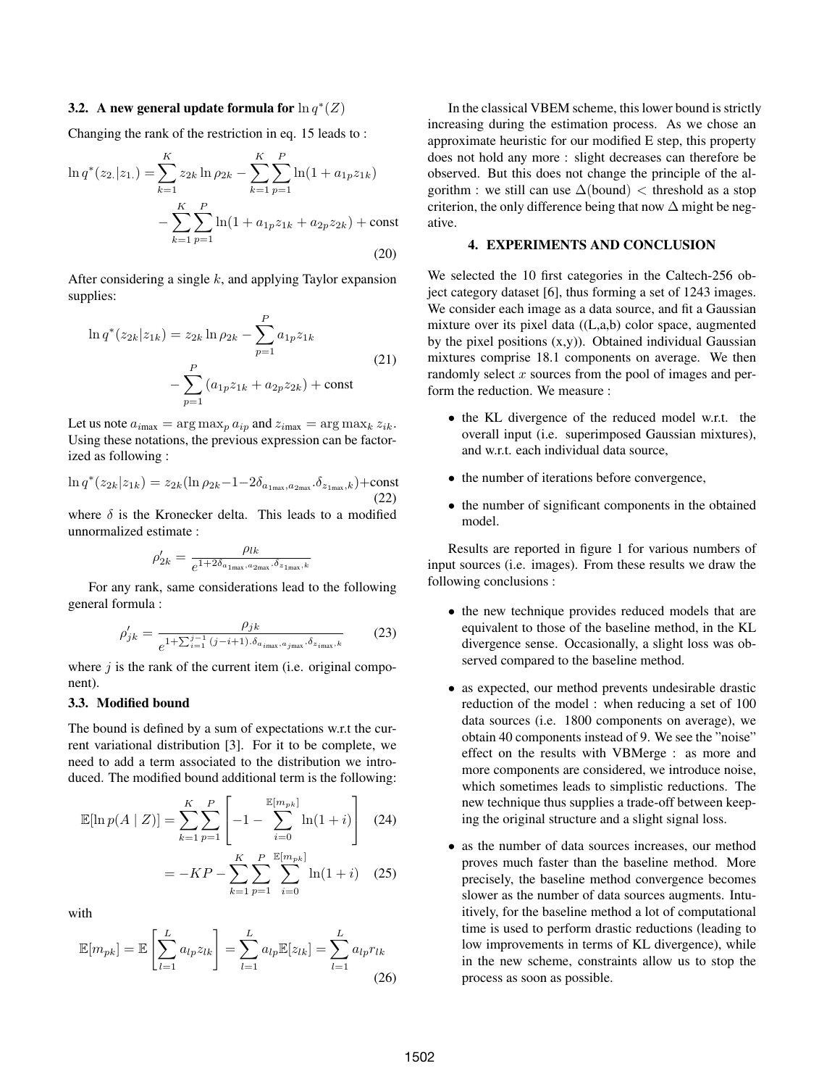# 3.2. A new general update formula for  $\ln q^*(Z)$

Changing the rank of the restriction in eq. 15 leads to :

$$
\ln q^*(z_2|z_1) = \sum_{k=1}^K z_{2k} \ln \rho_{2k} - \sum_{k=1}^K \sum_{p=1}^P \ln(1 + a_{1p} z_{1k}) - \sum_{k=1}^K \sum_{p=1}^P \ln(1 + a_{1p} z_{1k} + a_{2p} z_{2k}) + \text{const}
$$
\n(20)

After considering a single  $k$ , and applying Taylor expansion supplies:

$$
\ln q^*(z_{2k}|z_{1k}) = z_{2k} \ln \rho_{2k} - \sum_{p=1}^P a_{1p} z_{1k}
$$
  

$$
-\sum_{p=1}^P (a_{1p} z_{1k} + a_{2p} z_{2k}) + \text{const}
$$
 (21)

Let us note  $a_{i max} = \arg \max_{p} a_{i p}$  and  $z_{i max} = \arg \max_{k} z_{i k}$ . Using these notations, the previous expression can be factorized as following :

$$
\ln q^*(z_{2k}|z_{1k}) = z_{2k}(\ln \rho_{2k} - 1 - 2\delta_{a_{1\max},a_{2\max}} \cdot \delta_{z_{1\max},k}) + \text{const}
$$
\n(22)

where  $\delta$  is the Kronecker delta. This leads to a modified unnormalized estimate :

$$
\rho'_{2k} = \frac{\rho_{lk}}{e^{1 + 2\delta_{a_{1\mathrm{max}},a_{2\mathrm{max}},\delta_{z_{1\mathrm{max}},k}}}}
$$

For any rank, same considerations lead to the following general formula :

$$
\rho'_{jk} = \frac{\rho_{jk}}{e^{1 + \sum_{i=1}^{j-1} (j - i + 1) \cdot \delta_{a_{i_{\max}}, a_{j_{\max}}, \delta_{z_{i_{\max}}, k}}}}
$$
(23)

where  $j$  is the rank of the current item (i.e. original component).

#### 3.3. Modified bound

The bound is defined by a sum of expectations w.r.t the current variational distribution [3]. For it to be complete, we need to add a term associated to the distribution we introduced. The modified bound additional term is the following:

$$
\mathbb{E}[\ln p(A \mid Z)] = \sum_{k=1}^{K} \sum_{p=1}^{P} \left[ -1 - \sum_{i=0}^{\mathbb{E}[m_{pk}]} \ln(1+i) \right] \quad (24)
$$

$$
= -KP - \sum_{k=1}^{K} \sum_{p=1}^{P} \sum_{i=0}^{\mathbb{E}[m_{pk}]} \ln(1+i) \quad (25)
$$

with

$$
\mathbb{E}[m_{pk}] = \mathbb{E}\left[\sum_{l=1}^{L} a_{lp} z_{lk}\right] = \sum_{l=1}^{L} a_{lp} \mathbb{E}[z_{lk}] = \sum_{l=1}^{L} a_{lp} r_{lk}
$$
\n(26)

In the classical VBEM scheme, this lower bound is strictly increasing during the estimation process. As we chose an approximate heuristic for our modified E step, this property does not hold any more : slight decreases can therefore be observed. But this does not change the principle of the algorithm : we still can use  $\Delta$ (bound) < threshold as a stop criterion, the only difference being that now  $\Delta$  might be negative.

#### 4. EXPERIMENTS AND CONCLUSION

We selected the 10 first categories in the Caltech-256 object category dataset [6], thus forming a set of 1243 images. We consider each image as a data source, and fit a Gaussian mixture over its pixel data ((L,a,b) color space, augmented by the pixel positions  $(x,y)$ ). Obtained individual Gaussian mixtures comprise 18.1 components on average. We then randomly select  $x$  sources from the pool of images and perform the reduction. We measure :

- the KL divergence of the reduced model w.r.t. the overall input (i.e. superimposed Gaussian mixtures), and w.r.t. each individual data source,
- the number of iterations before convergence,
- the number of significant components in the obtained model.

Results are reported in figure 1 for various numbers of input sources (i.e. images). From these results we draw the following conclusions :

- the new technique provides reduced models that are equivalent to those of the baseline method, in the KL divergence sense. Occasionally, a slight loss was observed compared to the baseline method.
- as expected, our method prevents undesirable drastic reduction of the model : when reducing a set of 100 data sources (i.e. 1800 components on average), we obtain 40 components instead of 9. We see the "noise" effect on the results with VBMerge : as more and more components are considered, we introduce noise, which sometimes leads to simplistic reductions. The new technique thus supplies a trade-off between keeping the original structure and a slight signal loss.
- as the number of data sources increases, our method proves much faster than the baseline method. More precisely, the baseline method convergence becomes slower as the number of data sources augments. Intuitively, for the baseline method a lot of computational time is used to perform drastic reductions (leading to low improvements in terms of KL divergence), while in the new scheme, constraints allow us to stop the process as soon as possible.